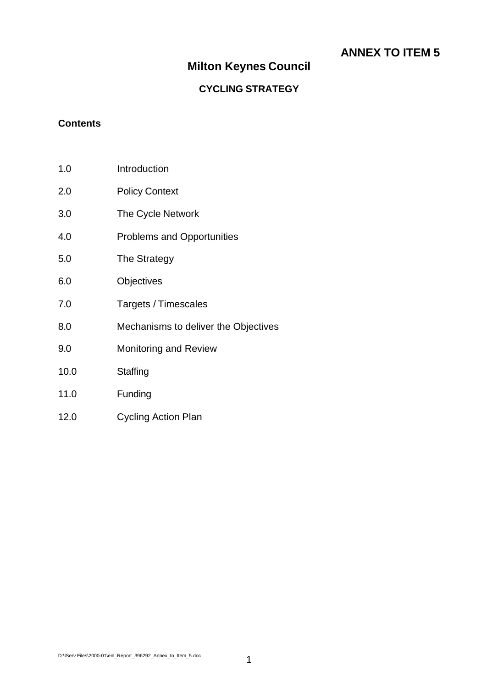### **ANNEX TO ITEM 5**

### **Milton Keynes Council**

### **CYCLING STRATEGY**

#### **Contents**

| 1.0  | Introduction                         |
|------|--------------------------------------|
| 2.0  | <b>Policy Context</b>                |
| 3.0  | The Cycle Network                    |
| 4.0  | <b>Problems and Opportunities</b>    |
| 5.0  | The Strategy                         |
| 6.0  | Objectives                           |
| 7.0  | Targets / Timescales                 |
| 8.0  | Mechanisms to deliver the Objectives |
| 9.0  | <b>Monitoring and Review</b>         |
| 10.0 | Staffing                             |
| 11.0 | Funding                              |
| 12.0 | <b>Cycling Action Plan</b>           |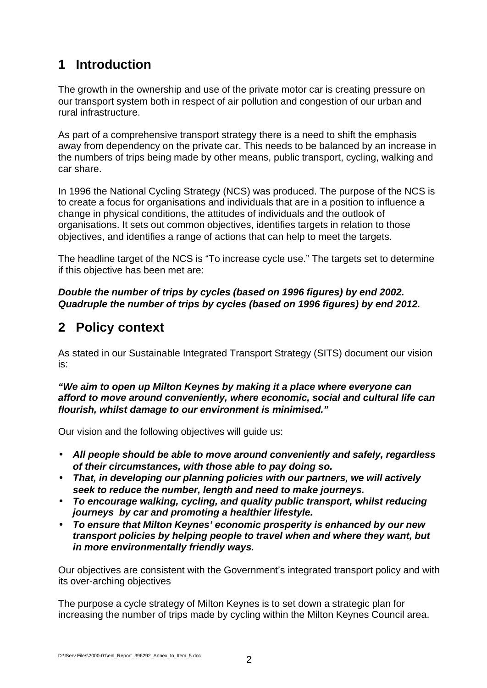## **1 Introduction**

The growth in the ownership and use of the private motor car is creating pressure on our transport system both in respect of air pollution and congestion of our urban and rural infrastructure.

As part of a comprehensive transport strategy there is a need to shift the emphasis away from dependency on the private car. This needs to be balanced by an increase in the numbers of trips being made by other means, public transport, cycling, walking and car share.

In 1996 the National Cycling Strategy (NCS) was produced. The purpose of the NCS is to create a focus for organisations and individuals that are in a position to influence a change in physical conditions, the attitudes of individuals and the outlook of organisations. It sets out common objectives, identifies targets in relation to those objectives, and identifies a range of actions that can help to meet the targets.

The headline target of the NCS is "To increase cycle use." The targets set to determine if this objective has been met are:

*Double the number of trips by cycles (based on 1996 figures) by end 2002. Quadruple the number of trips by cycles (based on 1996 figures) by end 2012.*

## **2 Policy context**

As stated in our Sustainable Integrated Transport Strategy (SITS) document our vision is:

*"We aim to open up Milton Keynes by making it a place where everyone can afford to move around conveniently, where economic, social and cultural life can flourish, whilst damage to our environment is minimised."*

Our vision and the following objectives will guide us:

- *All people should be able to move around conveniently and safely, regardless of their circumstances, with those able to pay doing so.*
- *That, in developing our planning policies with our partners, we will actively seek to reduce the number, length and need to make journeys.*
- *To encourage walking, cycling, and quality public transport, whilst reducing journeys by car and promoting a healthier lifestyle.*
- *To ensure that Milton Keynes' economic prosperity is enhanced by our new transport policies by helping people to travel when and where they want, but in more environmentally friendly ways.*

Our objectives are consistent with the Government's integrated transport policy and with its over-arching objectives

The purpose a cycle strategy of Milton Keynes is to set down a strategic plan for increasing the number of trips made by cycling within the Milton Keynes Council area.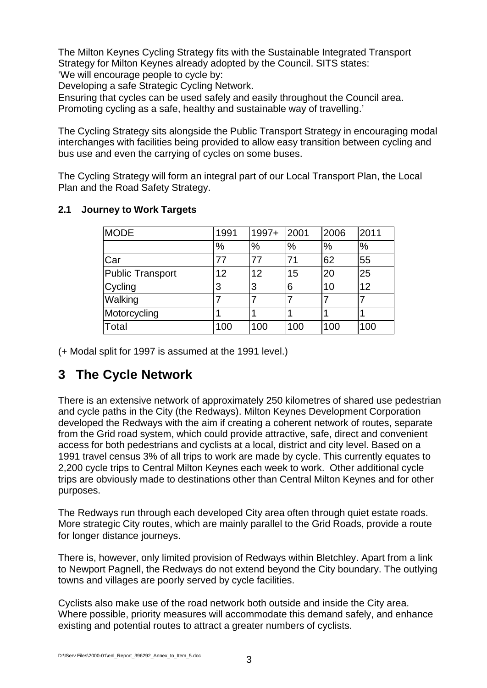The Milton Keynes Cycling Strategy fits with the Sustainable Integrated Transport Strategy for Milton Keynes already adopted by the Council. SITS states: 'We will encourage people to cycle by:

Developing a safe Strategic Cycling Network.

Ensuring that cycles can be used safely and easily throughout the Council area. Promoting cycling as a safe, healthy and sustainable way of travelling.'

The Cycling Strategy sits alongside the Public Transport Strategy in encouraging modal interchanges with facilities being provided to allow easy transition between cycling and bus use and even the carrying of cycles on some buses.

The Cycling Strategy will form an integral part of our Local Transport Plan, the Local Plan and the Road Safety Strategy.

| <b>MODE</b>      | 1991 | $1997+$ | 2001 | 2006          | 2011 |
|------------------|------|---------|------|---------------|------|
|                  | $\%$ | %       | %    | $\frac{0}{0}$ | $\%$ |
| Car              | 77   |         | 71   | 62            | 55   |
| Public Transport | 12   | 12      | 15   | 20            | 25   |
| Cycling          | 3    | 3       | 6    | 10            | 12   |
| Walking          |      |         |      |               |      |
| Motorcycling     |      |         |      |               |      |
| Total            | 100  | 100     | 100  | 100           | 100  |

#### **2.1 Journey to Work Targets**

(+ Modal split for 1997 is assumed at the 1991 level.)

### **3 The Cycle Network**

There is an extensive network of approximately 250 kilometres of shared use pedestrian and cycle paths in the City (the Redways). Milton Keynes Development Corporation developed the Redways with the aim if creating a coherent network of routes, separate from the Grid road system, which could provide attractive, safe, direct and convenient access for both pedestrians and cyclists at a local, district and city level. Based on a 1991 travel census 3% of all trips to work are made by cycle. This currently equates to 2,200 cycle trips to Central Milton Keynes each week to work. Other additional cycle trips are obviously made to destinations other than Central Milton Keynes and for other purposes.

The Redways run through each developed City area often through quiet estate roads. More strategic City routes, which are mainly parallel to the Grid Roads, provide a route for longer distance journeys.

There is, however, only limited provision of Redways within Bletchley. Apart from a link to Newport Pagnell, the Redways do not extend beyond the City boundary. The outlying towns and villages are poorly served by cycle facilities.

Cyclists also make use of the road network both outside and inside the City area. Where possible, priority measures will accommodate this demand safely, and enhance existing and potential routes to attract a greater numbers of cyclists.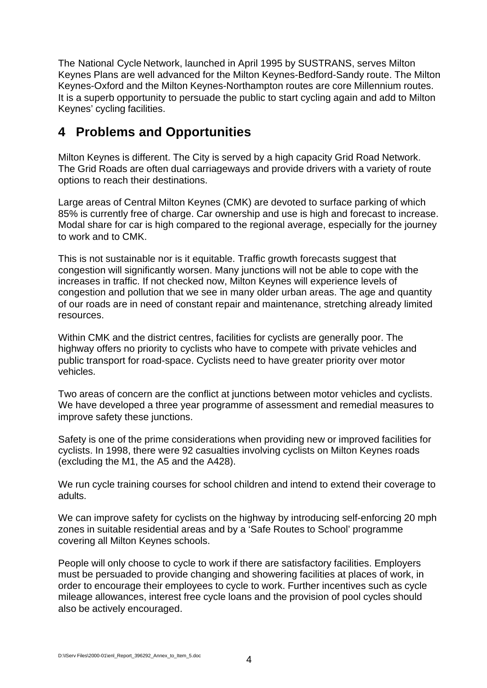The National Cycle Network, launched in April 1995 by SUSTRANS, serves Milton Keynes Plans are well advanced for the Milton Keynes-Bedford-Sandy route. The Milton Keynes-Oxford and the Milton Keynes-Northampton routes are core Millennium routes. It is a superb opportunity to persuade the public to start cycling again and add to Milton Keynes' cycling facilities.

### **4 Problems and Opportunities**

Milton Keynes is different. The City is served by a high capacity Grid Road Network. The Grid Roads are often dual carriageways and provide drivers with a variety of route options to reach their destinations.

Large areas of Central Milton Keynes (CMK) are devoted to surface parking of which 85% is currently free of charge. Car ownership and use is high and forecast to increase. Modal share for car is high compared to the regional average, especially for the journey to work and to CMK.

This is not sustainable nor is it equitable. Traffic growth forecasts suggest that congestion will significantly worsen. Many junctions will not be able to cope with the increases in traffic. If not checked now, Milton Keynes will experience levels of congestion and pollution that we see in many older urban areas. The age and quantity of our roads are in need of constant repair and maintenance, stretching already limited resources.

Within CMK and the district centres, facilities for cyclists are generally poor. The highway offers no priority to cyclists who have to compete with private vehicles and public transport for road-space. Cyclists need to have greater priority over motor vehicles.

Two areas of concern are the conflict at junctions between motor vehicles and cyclists. We have developed a three year programme of assessment and remedial measures to improve safety these junctions.

Safety is one of the prime considerations when providing new or improved facilities for cyclists. In 1998, there were 92 casualties involving cyclists on Milton Keynes roads (excluding the M1, the A5 and the A428).

We run cycle training courses for school children and intend to extend their coverage to adults.

We can improve safety for cyclists on the highway by introducing self-enforcing 20 mph zones in suitable residential areas and by a 'Safe Routes to School' programme covering all Milton Keynes schools.

People will only choose to cycle to work if there are satisfactory facilities. Employers must be persuaded to provide changing and showering facilities at places of work, in order to encourage their employees to cycle to work. Further incentives such as cycle mileage allowances, interest free cycle loans and the provision of pool cycles should also be actively encouraged.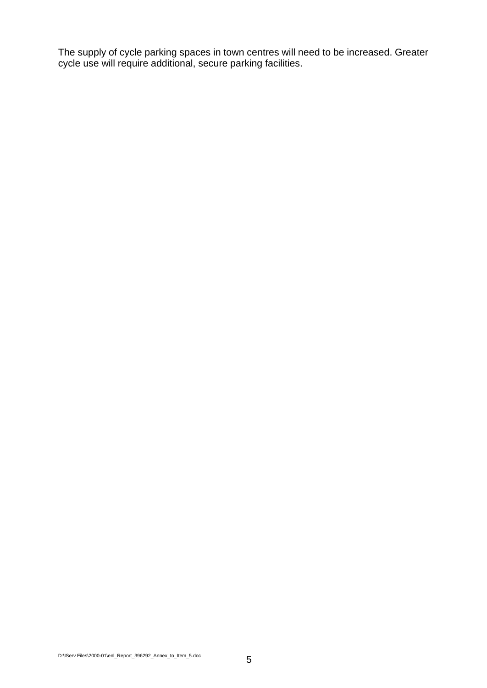The supply of cycle parking spaces in town centres will need to be increased. Greater cycle use will require additional, secure parking facilities.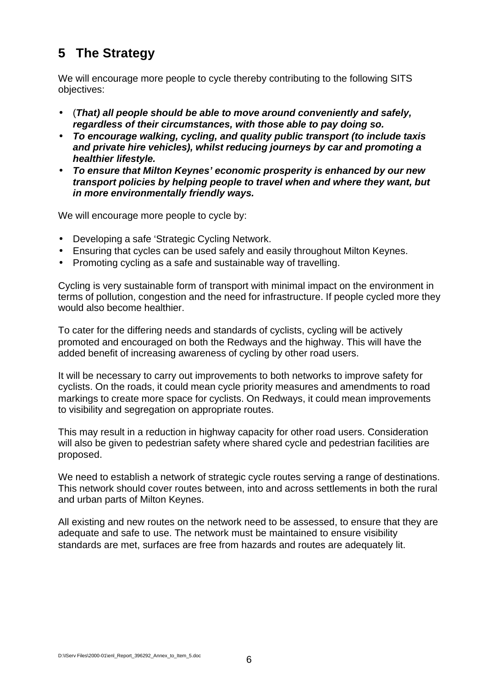## **5 The Strategy**

We will encourage more people to cycle thereby contributing to the following SITS objectives:

- (*That) all people should be able to move around conveniently and safely, regardless of their circumstances, with those able to pay doing so.*
- *To encourage walking, cycling, and quality public transport (to include taxis and private hire vehicles), whilst reducing journeys by car and promoting a healthier lifestyle.*
- *To ensure that Milton Keynes' economic prosperity is enhanced by our new transport policies by helping people to travel when and where they want, but in more environmentally friendly ways.*

We will encourage more people to cycle by:

- Developing a safe 'Strategic Cycling Network.
- Ensuring that cycles can be used safely and easily throughout Milton Keynes.
- Promoting cycling as a safe and sustainable way of travelling.

Cycling is very sustainable form of transport with minimal impact on the environment in terms of pollution, congestion and the need for infrastructure. If people cycled more they would also become healthier.

To cater for the differing needs and standards of cyclists, cycling will be actively promoted and encouraged on both the Redways and the highway. This will have the added benefit of increasing awareness of cycling by other road users.

It will be necessary to carry out improvements to both networks to improve safety for cyclists. On the roads, it could mean cycle priority measures and amendments to road markings to create more space for cyclists. On Redways, it could mean improvements to visibility and segregation on appropriate routes.

This may result in a reduction in highway capacity for other road users. Consideration will also be given to pedestrian safety where shared cycle and pedestrian facilities are proposed.

We need to establish a network of strategic cycle routes serving a range of destinations. This network should cover routes between, into and across settlements in both the rural and urban parts of Milton Keynes.

All existing and new routes on the network need to be assessed, to ensure that they are adequate and safe to use. The network must be maintained to ensure visibility standards are met, surfaces are free from hazards and routes are adequately lit.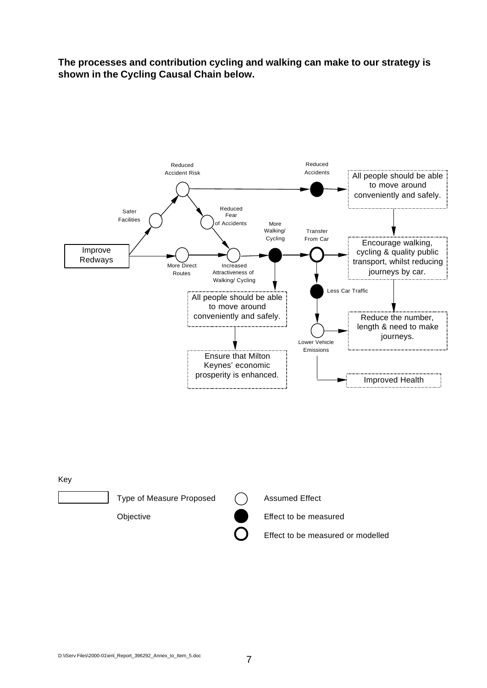**The processes and contribution cycling and walking can make to our strategy is shown in the Cycling Causal Chain below.**



Objective **Effect** to be measured

Effect to be measured or modelled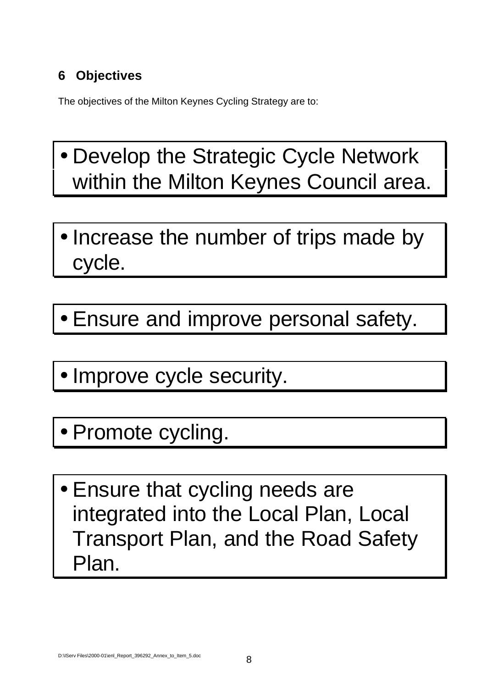# **6 Objectives**

The objectives of the Milton Keynes Cycling Strategy are to:

- Develop the Strategic Cycle Network within the Milton Keynes Council area.
- Increase the number of trips made by cycle.
- Ensure and improve personal safety.
- Improve cycle security.
- Promote cycling.
- Ensure that cycling needs are integrated into the Local Plan, Local Transport Plan, and the Road Safety Plan.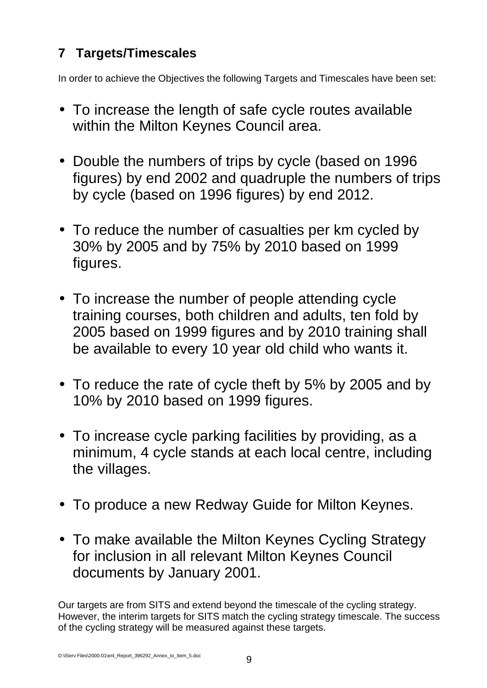# **7 Targets/Timescales**

In order to achieve the Objectives the following Targets and Timescales have been set:

- To increase the length of safe cycle routes available within the Milton Keynes Council area.
- Double the numbers of trips by cycle (based on 1996 figures) by end 2002 and quadruple the numbers of trips by cycle (based on 1996 figures) by end 2012.
- To reduce the number of casualties per km cycled by 30% by 2005 and by 75% by 2010 based on 1999 figures.
- To increase the number of people attending cycle training courses, both children and adults, ten fold by 2005 based on 1999 figures and by 2010 training shall be available to every 10 year old child who wants it.
- To reduce the rate of cycle theft by 5% by 2005 and by 10% by 2010 based on 1999 figures.
- To increase cycle parking facilities by providing, as a minimum, 4 cycle stands at each local centre, including the villages.
- To produce a new Redway Guide for Milton Keynes.
- To make available the Milton Keynes Cycling Strategy for inclusion in all relevant Milton Keynes Council documents by January 2001.

Our targets are from SITS and extend beyond the timescale of the cycling strategy. However, the interim targets for SITS match the cycling strategy timescale. The success of the cycling strategy will be measured against these targets.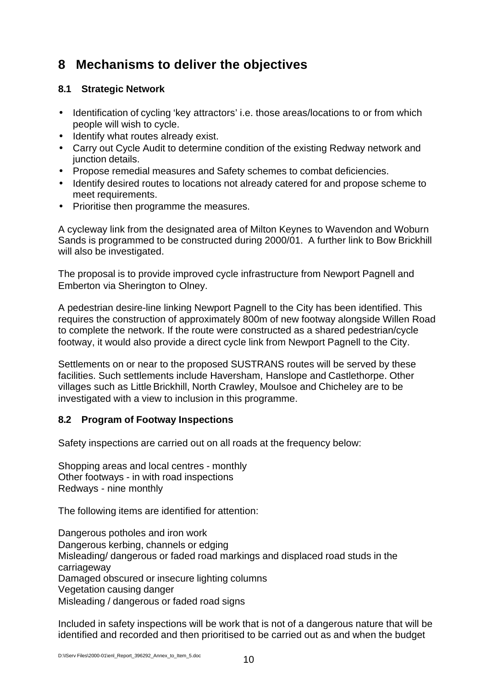### **8 Mechanisms to deliver the objectives**

#### **8.1 Strategic Network**

- Identification of cycling 'key attractors' i.e. those areas/locations to or from which people will wish to cycle.
- Identify what routes already exist.
- Carry out Cycle Audit to determine condition of the existing Redway network and junction details.
- Propose remedial measures and Safety schemes to combat deficiencies.
- Identify desired routes to locations not already catered for and propose scheme to meet requirements.
- Prioritise then programme the measures.

A cycleway link from the designated area of Milton Keynes to Wavendon and Woburn Sands is programmed to be constructed during 2000/01. A further link to Bow Brickhill will also be investigated.

The proposal is to provide improved cycle infrastructure from Newport Pagnell and Emberton via Sherington to Olney.

A pedestrian desire-line linking Newport Pagnell to the City has been identified. This requires the construction of approximately 800m of new footway alongside Willen Road to complete the network. If the route were constructed as a shared pedestrian/cycle footway, it would also provide a direct cycle link from Newport Pagnell to the City.

Settlements on or near to the proposed SUSTRANS routes will be served by these facilities. Such settlements include Haversham, Hanslope and Castlethorpe. Other villages such as Little Brickhill, North Crawley, Moulsoe and Chicheley are to be investigated with a view to inclusion in this programme.

#### **8.2 Program of Footway Inspections**

Safety inspections are carried out on all roads at the frequency below:

Shopping areas and local centres - monthly Other footways - in with road inspections Redways - nine monthly

The following items are identified for attention:

Dangerous potholes and iron work Dangerous kerbing, channels or edging Misleading/ dangerous or faded road markings and displaced road studs in the carriageway Damaged obscured or insecure lighting columns Vegetation causing danger Misleading / dangerous or faded road signs

Included in safety inspections will be work that is not of a dangerous nature that will be identified and recorded and then prioritised to be carried out as and when the budget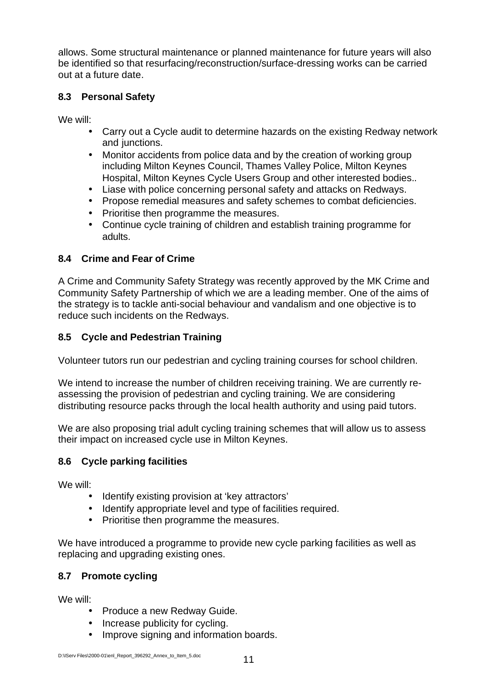allows. Some structural maintenance or planned maintenance for future years will also be identified so that resurfacing/reconstruction/surface-dressing works can be carried out at a future date.

#### **8.3 Personal Safety**

We will:

- Carry out a Cycle audit to determine hazards on the existing Redway network and junctions.
- Monitor accidents from police data and by the creation of working group including Milton Keynes Council, Thames Valley Police, Milton Keynes Hospital, Milton Keynes Cycle Users Group and other interested bodies..
- Liase with police concerning personal safety and attacks on Redways.
- Propose remedial measures and safety schemes to combat deficiencies.
- Prioritise then programme the measures.
- Continue cycle training of children and establish training programme for adults.

#### **8.4 Crime and Fear of Crime**

A Crime and Community Safety Strategy was recently approved by the MK Crime and Community Safety Partnership of which we are a leading member. One of the aims of the strategy is to tackle anti-social behaviour and vandalism and one objective is to reduce such incidents on the Redways.

#### **8.5 Cycle and Pedestrian Training**

Volunteer tutors run our pedestrian and cycling training courses for school children.

We intend to increase the number of children receiving training. We are currently reassessing the provision of pedestrian and cycling training. We are considering distributing resource packs through the local health authority and using paid tutors.

We are also proposing trial adult cycling training schemes that will allow us to assess their impact on increased cycle use in Milton Keynes.

#### **8.6 Cycle parking facilities**

We will:

- Identify existing provision at 'key attractors'
- Identify appropriate level and type of facilities required.
- Prioritise then programme the measures.

We have introduced a programme to provide new cycle parking facilities as well as replacing and upgrading existing ones.

#### **8.7 Promote cycling**

We will:

- Produce a new Redway Guide.
- Increase publicity for cycling.
- Improve signing and information boards.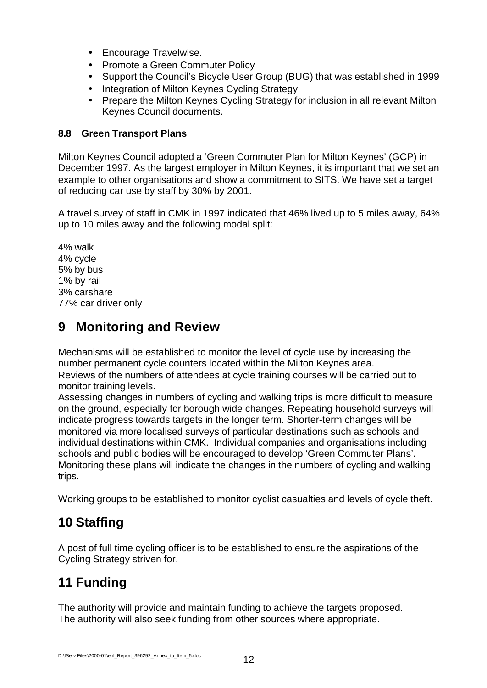- Encourage Travelwise.
- Promote a Green Commuter Policy
- Support the Council's Bicycle User Group (BUG) that was established in 1999
- Integration of Milton Keynes Cycling Strategy
- Prepare the Milton Keynes Cycling Strategy for inclusion in all relevant Milton Keynes Council documents.

#### **8.8 Green Transport Plans**

Milton Keynes Council adopted a 'Green Commuter Plan for Milton Keynes' (GCP) in December 1997. As the largest employer in Milton Keynes, it is important that we set an example to other organisations and show a commitment to SITS. We have set a target of reducing car use by staff by 30% by 2001.

A travel survey of staff in CMK in 1997 indicated that 46% lived up to 5 miles away, 64% up to 10 miles away and the following modal split:

4% walk 4% cycle 5% by bus 1% by rail 3% carshare 77% car driver only

## **9 Monitoring and Review**

Mechanisms will be established to monitor the level of cycle use by increasing the number permanent cycle counters located within the Milton Keynes area. Reviews of the numbers of attendees at cycle training courses will be carried out to monitor training levels.

Assessing changes in numbers of cycling and walking trips is more difficult to measure on the ground, especially for borough wide changes. Repeating household surveys will indicate progress towards targets in the longer term. Shorter-term changes will be monitored via more localised surveys of particular destinations such as schools and individual destinations within CMK. Individual companies and organisations including schools and public bodies will be encouraged to develop 'Green Commuter Plans'. Monitoring these plans will indicate the changes in the numbers of cycling and walking trips.

Working groups to be established to monitor cyclist casualties and levels of cycle theft.

### **10 Staffing**

A post of full time cycling officer is to be established to ensure the aspirations of the Cycling Strategy striven for.

# **11 Funding**

The authority will provide and maintain funding to achieve the targets proposed. The authority will also seek funding from other sources where appropriate.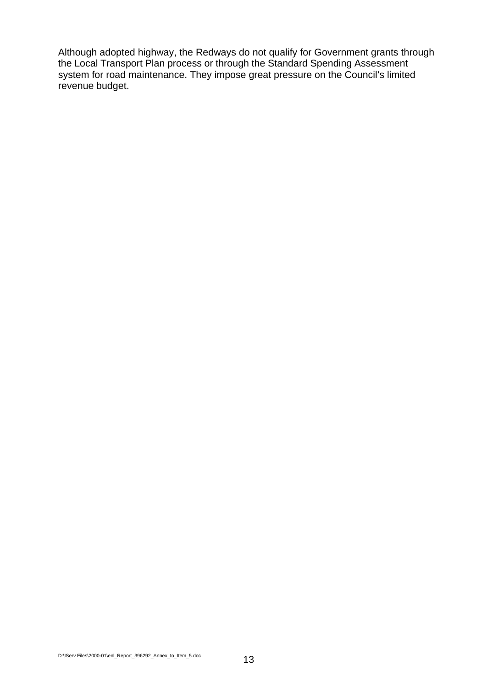Although adopted highway, the Redways do not qualify for Government grants through the Local Transport Plan process or through the Standard Spending Assessment system for road maintenance. They impose great pressure on the Council's limited revenue budget.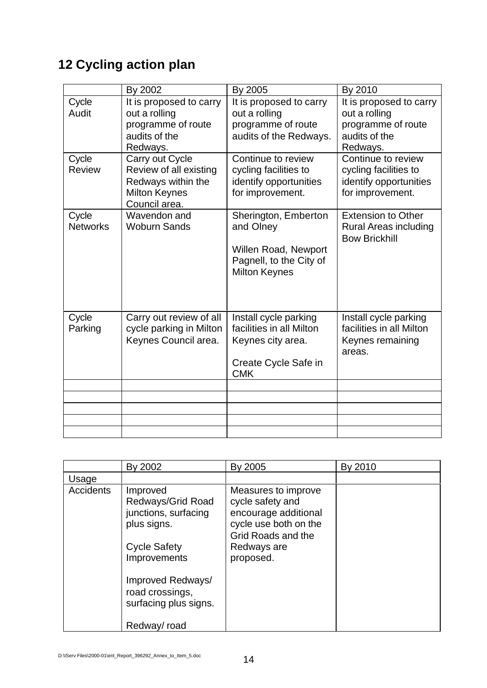# **12 Cycling action plan**

|                          | By 2002                                                                                           | By 2005                                                                                                      | By 2010                                                                                     |
|--------------------------|---------------------------------------------------------------------------------------------------|--------------------------------------------------------------------------------------------------------------|---------------------------------------------------------------------------------------------|
| Cycle<br>Audit           | It is proposed to carry<br>out a rolling<br>programme of route<br>audits of the<br>Redways.       | It is proposed to carry<br>out a rolling<br>programme of route<br>audits of the Redways.                     | It is proposed to carry<br>out a rolling<br>programme of route<br>audits of the<br>Redways. |
| Cycle<br><b>Review</b>   | Carry out Cycle<br>Review of all existing<br>Redways within the<br>Milton Keynes<br>Council area. | Continue to review<br>cycling facilities to<br>identify opportunities<br>for improvement.                    | Continue to review<br>cycling facilities to<br>identify opportunities<br>for improvement.   |
| Cycle<br><b>Networks</b> | Wavendon and<br><b>Woburn Sands</b>                                                               | Sherington, Emberton<br>and Olney<br>Willen Road, Newport<br>Pagnell, to the City of<br><b>Milton Keynes</b> | <b>Extension to Other</b><br><b>Rural Areas including</b><br><b>Bow Brickhill</b>           |
| Cycle<br>Parking         | Carry out review of all<br>cycle parking in Milton<br>Keynes Council area.                        | Install cycle parking<br>facilities in all Milton<br>Keynes city area.<br>Create Cycle Safe in<br><b>CMK</b> | Install cycle parking<br>facilities in all Milton<br>Keynes remaining<br>areas.             |
|                          |                                                                                                   |                                                                                                              |                                                                                             |
|                          |                                                                                                   |                                                                                                              |                                                                                             |
|                          |                                                                                                   |                                                                                                              |                                                                                             |
|                          |                                                                                                   |                                                                                                              |                                                                                             |

|                  | By 2002                                                                                                                                                                                     | By 2005                                                                                                                                    | By 2010 |
|------------------|---------------------------------------------------------------------------------------------------------------------------------------------------------------------------------------------|--------------------------------------------------------------------------------------------------------------------------------------------|---------|
| Usage            |                                                                                                                                                                                             |                                                                                                                                            |         |
| <b>Accidents</b> | Improved<br>Redways/Grid Road<br>junctions, surfacing<br>plus signs.<br><b>Cycle Safety</b><br>Improvements<br>Improved Redways/<br>road crossings,<br>surfacing plus signs.<br>Redway/road | Measures to improve<br>cycle safety and<br>encourage additional<br>cycle use both on the<br>Grid Roads and the<br>Redways are<br>proposed. |         |